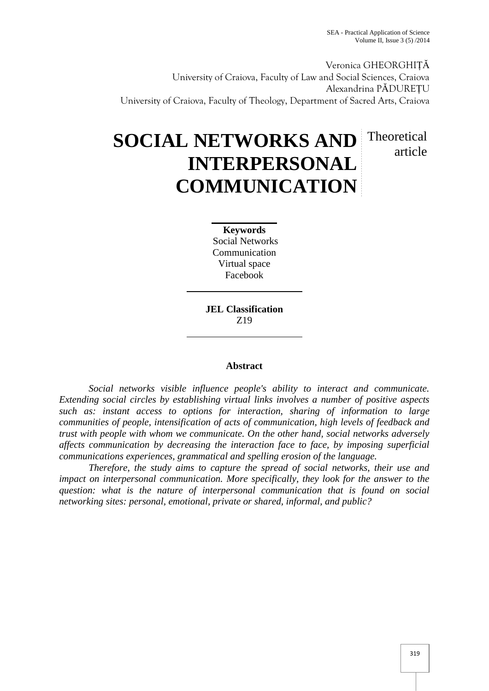Veronica GHEORGHIȚĂ University of Craiova, Faculty of Law and Social Sciences, Craiova Alexandrina PĂDUREȚU University of Craiova, Faculty of Theology, Department of Sacred Arts, Craiova

# **SOCIAL NETWORKS AND INTERPERSONAL COMMUNICATION** Theoretical article

**Keywords** Social Networks Communication Virtual space Facebook

**JEL Classification** Z19

## **Abstract**

*Social networks visible influence people's ability to interact and communicate. Extending social circles by establishing virtual links involves a number of positive aspects such as: instant access to options for interaction, sharing of information to large communities of people, intensification of acts of communication, high levels of feedback and trust with people with whom we communicate. On the other hand, social networks adversely affects communication by decreasing the interaction face to face, by imposing superficial communications experiences, grammatical and spelling erosion of the language.*

*Therefore, the study aims to capture the spread of social networks, their use and impact on interpersonal communication. More specifically, they look for the answer to the question: what is the nature of interpersonal communication that is found on social networking sites: personal, emotional, private or shared, informal, and public?*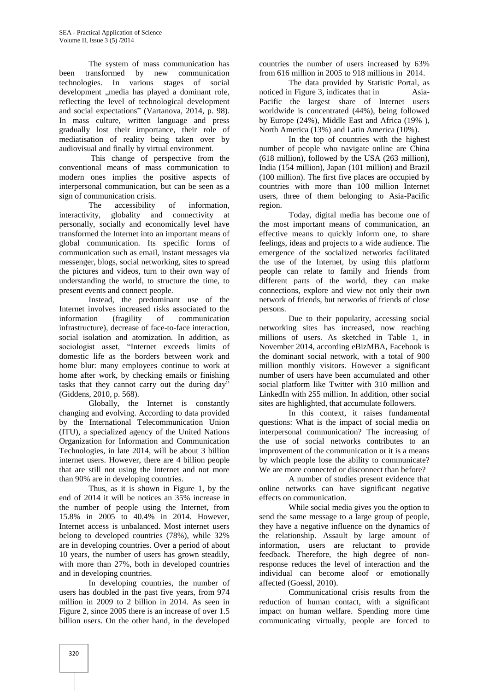The system of mass communication has been transformed by new communication technologies. In various stages of social development "media has played a dominant role, reflecting the level of technological development and social expectations" (Vartanova, 2014, p. 98). In mass culture, written language and press gradually lost their importance, their role of mediatisation of reality being taken over by audiovisual and finally by virtual environment.

This change of perspective from the conventional means of mass communication to modern ones implies the positive aspects of interpersonal communication, but can be seen as a sign of communication crisis.

The accessibility of information, interactivity, globality and connectivity at personally, socially and economically level have transformed the Internet into an important means of global communication. Its specific forms of communication such as email, instant messages via messenger, blogs, social networking, sites to spread the pictures and videos, turn to their own way of understanding the world, to structure the time, to present events and connect people.

Instead, the predominant use of the Internet involves increased risks associated to the information (fragility of communication infrastructure), decrease of face-to-face interaction, social isolation and atomization. In addition, as sociologist asset, "Internet exceeds limits of domestic life as the borders between work and home blur: many employees continue to work at home after work, by checking emails or finishing tasks that they cannot carry out the during day" (Giddens, 2010, p. 568).

Globally, the Internet is constantly changing and evolving. According to data provided by the International Telecommunication Union (ITU), a specialized agency of the United Nations Organization for Information and Communication Technologies, in late 2014, will be about 3 billion internet users. However, there are 4 billion people that are still not using the Internet and not more than 90% are in developing countries.

Thus, as it is shown in Figure 1, by the end of 2014 it will be notices an 35% increase in the number of people using the Internet, from 15.8% in 2005 to 40.4% in 2014. However, Internet access is unbalanced. Most internet users belong to developed countries (78%), while 32% are in developing countries. Over a period of about 10 years, the number of users has grown steadily, with more than 27%, both in developed countries and in developing countries.

In developing countries, the number of users has doubled in the past five years, from 974 million in 2009 to 2 billion in 2014. As seen in Figure 2, since 2005 there is an increase of over 1.5 billion users. On the other hand, in the developed

countries the number of users increased by 63% from 616 million in 2005 to 918 millions in 2014.

The data provided by Statistic Portal, as noticed in Figure 3, indicates that in Asia-Pacific the largest share of Internet users worldwide is concentrated (44%), being followed by Europe (24%), Middle East and Africa (19% ), North America (13%) and Latin America (10%).

In the top of countries with the highest number of people who navigate online are China (618 million), followed by the USA (263 million), India (154 million), Japan (101 million) and Brazil (100 million). The first five places are occupied by countries with more than 100 million Internet users, three of them belonging to Asia-Pacific region.

Today, digital media has become one of the most important means of communication, an effective means to quickly inform one, to share feelings, ideas and projects to a wide audience. The emergence of the socialized networks facilitated the use of the Internet, by using this platform people can relate to family and friends from different parts of the world, they can make connections, explore and view not only their own network of friends, but networks of friends of close persons.

Due to their popularity, accessing social networking sites has increased, now reaching millions of users. As sketched in Table 1, in November 2014, according eBizMBA, Facebook is the dominant social network, with a total of 900 million monthly visitors. However a significant number of users have been accumulated and other social platform like Twitter with 310 million and LinkedIn with 255 million. In addition, other social sites are highlighted, that accumulate followers.

In this context, it raises fundamental questions: What is the impact of social media on interpersonal communication? The increasing of the use of social networks contributes to an improvement of the communication or it is a means by which people lose the ability to communicate? We are more connected or disconnect than before?

A number of studies present evidence that online networks can have significant negative effects on communication.

While social media gives you the option to send the same message to a large group of people, they have a negative influence on the dynamics of the relationship. Assault by large amount of information, users are reluctant to provide feedback. Therefore, the high degree of nonresponse reduces the level of interaction and the individual can become aloof or emotionally affected (Goessl, 2010).

Communicational crisis results from the reduction of human contact, with a significant impact on human welfare. Spending more time communicating virtually, people are forced to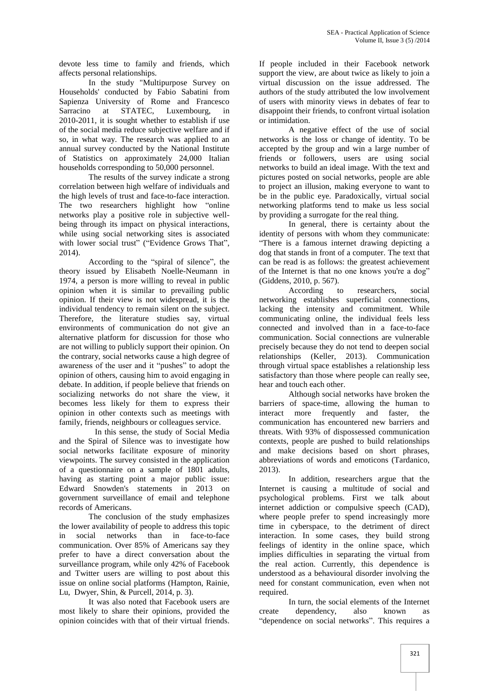devote less time to family and friends, which affects personal relationships.

In the study "Multipurpose Survey on Households' conducted by Fabio Sabatini from Sapienza University of Rome and Francesco Sarracino at STATEC, Luxembourg, in 2010-2011, it is sought whether to establish if use of the social media reduce subjective welfare and if so, in what way. The research was applied to an annual survey conducted by the National Institute of Statistics on approximately 24,000 Italian households corresponding to 50,000 personnel.

The results of the survey indicate a strong correlation between high welfare of individuals and the high levels of trust and face-to-face interaction. The two researchers highlight how "online networks play a positive role in subjective well being through its impact on physical interactions, while using social networking sites is associated with lower social trust" ("Evidence Grows That", 2014).

According to the "spiral of silence", the theory issued by Elisabeth Noelle-Neumann in 1974, a person is more willing to reveal in public opinion when it is similar to prevailing public opinion. If their view is not widespread, it is the individual tendency to remain silent on the subject. Therefore, the literature studies say, virtual environments of communication do not give an alternative platform for discussion for those who are not willing to publicly support their opinion. On the contrary, social networks cause a high degree of awareness of the user and it "pushes" to adopt the opinion of others, causing him to avoid engaging in debate. In addition, if people believe that friends on socializing networks do not share the view, it becomes less likely for them to express their opinion in other contexts such as meetings with family, friends, neighbours or colleagues service.

In this sense, the study of Social Media and the Spiral of Silence was to investigate how social networks facilitate exposure of minority viewpoints. The survey consisted in the application of a questionnaire on a sample of 1801 adults, having as starting point a major public issue: Edward Snowden's statements in 2013 on government surveillance of email and telephone records of Americans.

The conclusion of the study emphasizes the lower availability of people to address this topic in social networks than in face-to-face communication. Over 85% of Americans say they prefer to have a direct conversation about the surveillance program, while only 42% of Facebook and Twitter users are willing to post about this issue on online social platforms (Hampton, Rainie, Lu, Dwyer, Shin, & Purcell, 2014, p. 3).

It was also noted that Facebook users are most likely to share their opinions, provided the opinion coincides with that of their virtual friends. If people included in their Facebook network support the view, are about twice as likely to join a virtual discussion on the issue addressed. The authors of the study attributed the low involvement of users with minority views in debates of fear to disappoint their friends, to confront virtual isolation or intimidation.

A negative effect of the use of social networks is the loss or change of identity. To be accepted by the group and win a large number of friends or followers, users are using social networks to build an ideal image. With the text and pictures posted on social networks, people are able to project an illusion, making everyone to want to be in the public eye. Paradoxically, virtual social networking platforms tend to make us less social by providing a surrogate for the real thing.

In general, there is certainty about the identity of persons with whom they communicate: "There is a famous internet drawing depicting a dog that stands in front of a computer. The text that can be read is as follows: the greatest achievement of the Internet is that no one knows you're a dog" (Giddens, 2010, p. 567).

According to researchers, social networking establishes superficial connections, lacking the intensity and commitment. While communicating online, the individual feels less connected and involved than in a face-to-face communication. Social connections are vulnerable precisely because they do not tend to deepen social relationships (Keller, 2013). Communication through virtual space establishes a relationship less satisfactory than those where people can really see, hear and touch each other.

Although social networks have broken the barriers of space-time, allowing the human to interact more frequently and faster, the communication has encountered new barriers and threats. With 93% of dispossessed communication contexts, people are pushed to build relationships and make decisions based on short phrases, abbreviations of words and emoticons (Tardanico, 2013).

In addition, researchers argue that the Internet is causing a multitude of social and psychological problems. First we talk about internet addiction or compulsive speech (CAD), where people prefer to spend increasingly more time in cyberspace, to the detriment of direct interaction. In some cases, they build strong feelings of identity in the online space, which implies difficulties in separating the virtual from the real action. Currently, this dependence is understood as a behavioural disorder involving the need for constant communication, even when not required.

In turn, the social elements of the Internet create dependency, also known as "dependence on social networks". This requires a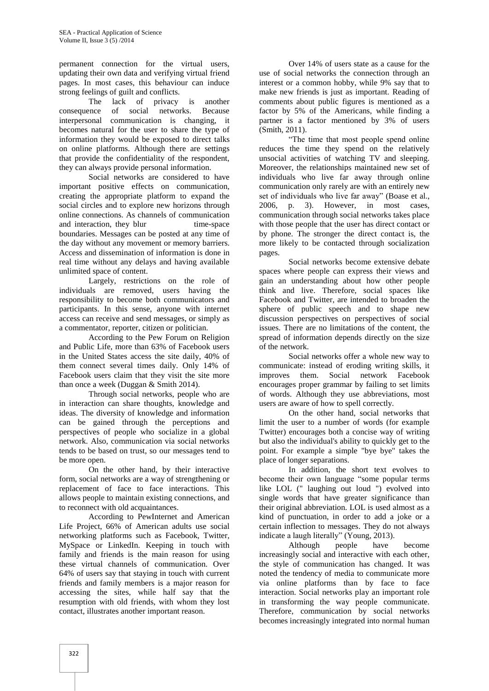permanent connection for the virtual users, updating their own data and verifying virtual friend pages. In most cases, this behaviour can induce strong feelings of guilt and conflicts.

The lack of privacy is another consequence of social networks. Because interpersonal communication is changing, it becomes natural for the user to share the type of information they would be exposed to direct talks on online platforms. Although there are settings that provide the confidentiality of the respondent, they can always provide personal information.

Social networks are considered to have important positive effects on communication, creating the appropriate platform to expand the social circles and to explore new horizons through online connections. As channels of communication and interaction, they blur time-space boundaries. Messages can be posted at any time of the day without any movement or memory barriers. Access and dissemination of information is done in real time without any delays and having available unlimited space of content.

Largely, restrictions on the role of individuals are removed, users having the responsibility to become both communicators and participants. In this sense, anyone with internet access can receive and send messages, or simply as a commentator, reporter, citizen or politician.

According to the Pew Forum on Religion and Public Life, more than 63% of Facebook users in the United States access the site daily, 40% of them connect several times daily. Only 14% of Facebook users claim that they visit the site more than once a week (Duggan & Smith 2014).

Through social networks, people who are in interaction can share thoughts, knowledge and ideas. The diversity of knowledge and information can be gained through the perceptions and perspectives of people who socialize in a global network. Also, communication via social networks tends to be based on trust, so our messages tend to be more open.

On the other hand, by their interactive form, social networks are a way of strengthening or replacement of face to face interactions. This allows people to maintain existing connections, and to reconnect with old acquaintances.

According to PewInternet and American Life Project, 66% of American adults use social networking platforms such as Facebook, Twitter, MySpace or LinkedIn. Keeping in touch with family and friends is the main reason for using these virtual channels of communication. Over 64% of users say that staying in touch with current friends and family members is a major reason for accessing the sites, while half say that the resumption with old friends, with whom they lost contact, illustrates another important reason.

Over 14% of users state as a cause for the use of social networks the connection through an interest or a common hobby, while 9% say that to make new friends is just as important. Reading of comments about public figures is mentioned as a factor by 5% of the Americans, while finding a partner is a factor mentioned by 3% of users (Smith, 2011).

"The time that most people spend online reduces the time they spend on the relatively unsocial activities of watching TV and sleeping. Moreover, the relationships maintained new set of individuals who live far away through online communication only rarely are with an entirely new set of individuals who live far away" (Boase et al., 2006, p. 3). However, in most cases, communication through social networks takes place with those people that the user has direct contact or by phone. The stronger the direct contact is, the more likely to be contacted through socialization pages.

Social networks become extensive debate spaces where people can express their views and gain an understanding about how other people think and live. Therefore, social spaces like Facebook and Twitter, are intended to broaden the sphere of public speech and to shape new discussion perspectives on perspectives of social issues. There are no limitations of the content, the spread of information depends directly on the size of the network.

Social networks offer a whole new way to communicate: instead of eroding writing skills, it improves them. Social network Facebook encourages proper grammar by failing to set limits of words. Although they use abbreviations, most users are aware of how to spell correctly.

On the other hand, social networks that limit the user to a number of words (for example Twitter) encourages both a concise way of writing but also the individual's ability to quickly get to the point. For example a simple "bye bye" takes the place of longer separations.

In addition, the short text evolves to become their own language "some popular terms like LOL (" laughing out loud ") evolved into single words that have greater significance than their original abbreviation. LOL is used almost as a kind of punctuation, in order to add a joke or a certain inflection to messages. They do not always indicate a laugh literally" (Young, 2013).

Although people have become increasingly social and interactive with each other, the style of communication has changed. It was noted the tendency of media to communicate more via online platforms than by face to face interaction. Social networks play an important role in transforming the way people communicate. Therefore, communication by social networks becomes increasingly integrated into normal human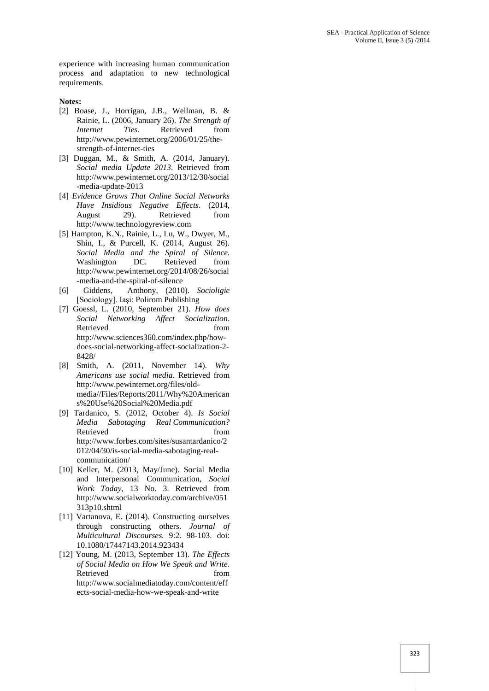experience with increasing human communication process and adaptation to new technological requirements.

#### **Notes:**

- [2] Boase, J., Horrigan, J.B., Wellman, B. & Rainie, L. (2006, January 26). *The Strength of Iies.* Retrieved from http://www.pewinternet.org/2006/01/25/the strength-of-internet-ties
- [3] Duggan, M., & Smith, A. (2014, January). *Social media Update 2013*. Retrieved from http://www.pewinternet.org/2013/12/30/social -media-update-2013
- [4] *Evidence Grows That Online Social Networks Have Insidious Negative Effects*. (2014, August 29). Retrieved from http://www.technologyreview.com
- [5] Hampton, K.N., Rainie, L., Lu, W., Dwyer, M., Shin, I., & Purcell, K. (2014, August 26). *Social Media and the Spiral of Silence.* Washington DC. Retrieved from http://www.pewinternet.org/2014/08/26/social -media-and-the-spiral-of-silence
- [6] Giddens, Anthony, (2010). *Socioligie* [Sociology]. Iaşi: Polirom Publishing
- [7] Goessl, L. (2010, September 21). *How does Social Networking Affect Socialization*. Retrieved from  $\sim$ http://www.sciences360.com/index.php/how does-social-networking-affect-socialization-2- 8428/
- [8] Smith, A. (2011, November 14). *Why Americans use social media*. Retrieved from http://www.pewinternet.org/files/old media//Files/Reports/2011/Why%20American s%20Use%20Social%20Media.pdf
- [9] Tardanico, S. (2012, October 4). *Is Social Media Sabotaging Real Communication?* Retrieved from  $\sim$ http://www.forbes.com/sites/susantardanico/2 012/04/30/is-social-media-sabotaging-real communication/
- [10] Keller, M. (2013, May/June). Social Media and Interpersonal Communication, *Social Work Today*, 13 No. 3. Retrieved from http://www.socialworktoday.com/archive/051 313p10.shtml
- [11] Vartanova, E. (2014). Constructing ourselves through constructing others. *Journal of Multicultural Discourses.* 9:2. 98-103. doi: 10.1080/17447143.2014.923434
- [12] Young, M. (2013, September 13). *The Effects of Social Media on How We Speak and Write*. Retrieved from http://www.socialmediatoday.com/content/eff ects-social-media-how-we-speak-and-write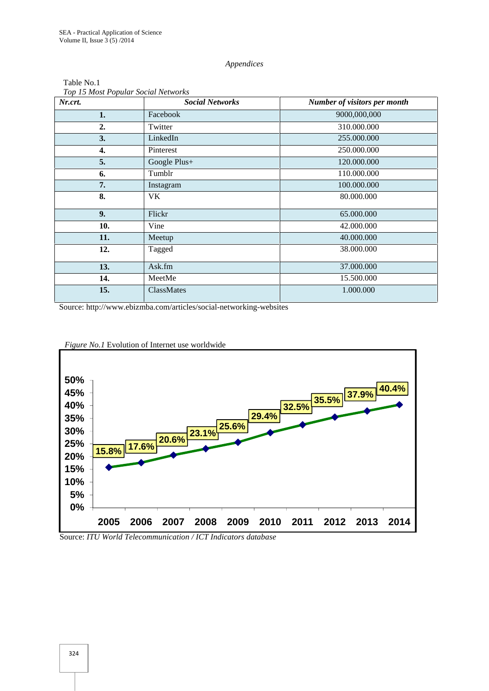#### *Appendices*

| Nr.crt. | <b>Social Networks</b> | Number of visitors per month |
|---------|------------------------|------------------------------|
| 1.      | Facebook               | 9000,000,000                 |
| 2.      | Twitter                | 310.000.000                  |
| 3.      | LinkedIn               | 255.000.000                  |
| 4.      | Pinterest              | 250.000.000                  |
| 5.      | Google Plus+           | 120.000.000                  |
| 6.      | Tumblr                 | 110.000.000                  |
| 7.      | Instagram              | 100.000.000                  |
| 8.      | VK.                    | 80.000.000                   |
| 9.      | Flickr                 | 65.000.000                   |
| 10.     | Vine                   | 42.000.000                   |
| 11.     | Meetup                 | 40.000.000                   |
| 12.     | Tagged                 | 38.000.000                   |
| 13.     | Ask.fm                 | 37.000.000                   |
| 14.     | MeetMe                 | 15.500.000                   |
| 15.     | ClassMates             | 1.000.000                    |

### Table No.1 *Top 15 Most Popular Social Networks*

Source: http://www.ebizmba.com/articles/social-networking-websites



*Figure No.1* Evolution of Internet use worldwide

Source: *ITU World Telecommunication / ICT Indicators database*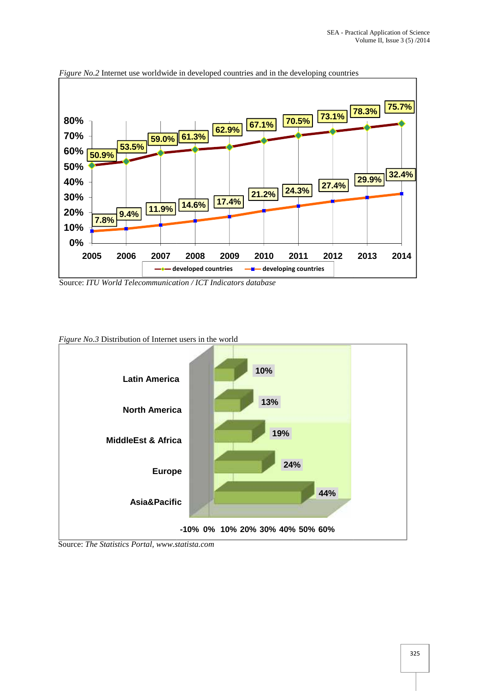

*Figure No.2* Internet use worldwide in developed countries and in the developing countries

Source: *ITU World Telecommunication / ICT Indicators database*

*Figure No.3* Distribution of Internet users in the world



Source: *The Statistics Portal, www.statista.com*